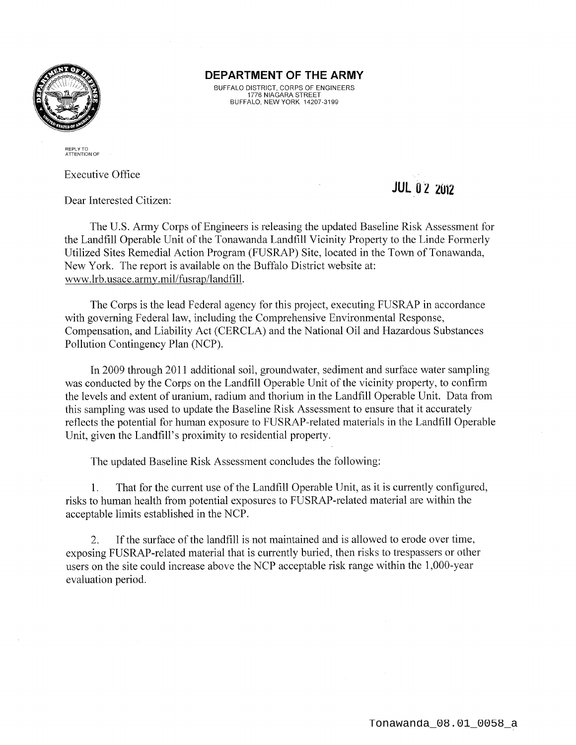

#### **DEPARTMENT OF THE ARMY**

BUFFALO DISTRICT, CORPS OF ENGINEERS 1776 NIAGARA STREET BUFFALO, NEW YORK 14207-3199

REPLY TO ATTENTION OF

Executive Office

Dear Interested Citizen:

The U.S. Army Corps of Engineers is releasing the updated Baseline Risk Assessment for the Landfill Operable Unit of the Tonawanda Landfill Vicinity Property to the Linde Formerly Utilized Sites Remedial Action Program (FUSRAP) Site, located in the Town of Tonawanda, New York. The report is available on the Buffalo District website at: www.lrb.usace.army.mil/fusrap/landfill.

The Corps is the lead Federal agency for this project, executing FUSRAP in accordance with governing Federal law, including the Comprehensive Environmental Response, Compensation, and Liability Act (CERCLA) and the National Oil and Hazardous Substances Pollution Contingency Plan (NCP).

In 2009 through 2011 additional soil, groundwater, sediment and surface water sampling was conducted by the Corps on the Landfill Operable Unit of the vicinity property, to confirm the levels and extent of uranium, radium and thorium in the Landfill Operable Unit. Data from this sampling was used to update the Baseline Risk Assessment to ensure that it accurately reflects the potential for human exposure to FUSRAP-related materials in the Landfill Operable Unit, given the Landfill's proximity to residential property.

The updated Baseline Risk Assessment concludes the following:

1. That for the current use of the Landfill Operable Unit, as it is currently configured, risks to human health from potential exposures to FUSRAP-related material are within the acceptable limits established in the NCP.

2. If the surface of the landfill is not maintained and is allowed to erode over time, exposing FUSRAP-related material that is currently buried, then risks to trespassers or other users on the site could increase above the NCP acceptable risk range within the 1,000-year evaluation period.

## **JUL 0 2 <sup>2012</sup>**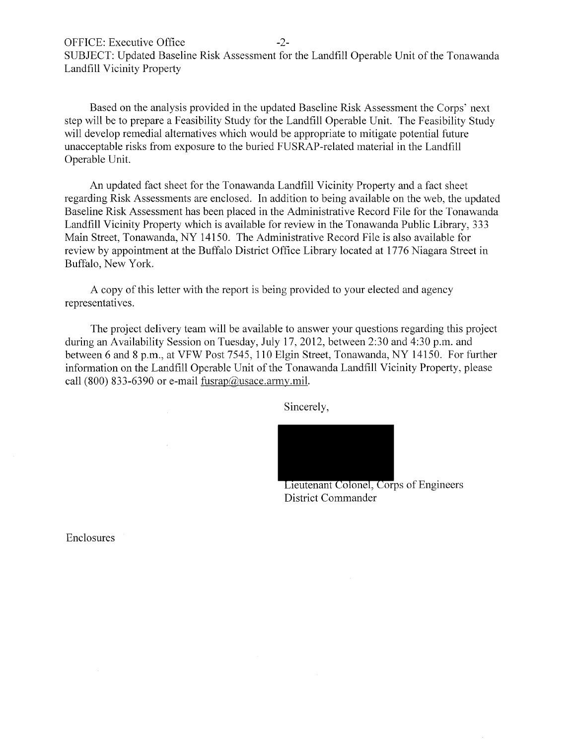OFFICE: Executive Office -2-SUBJECT: Updated Baseline Risk Assessment for the Landfill Operable Unit of the Tonawanda Landfill Vicinity Property

Based on the analysis provided in the updated Baseline Risk Assessment the Corps' next step will be to prepare a Feasibility Study for the Landfill Operable Unit. The Feasibility Study will develop remedial alternatives which would be appropriate to mitigate potential future unacceptable risks from exposure to the buried FUSRAP-related material in the Landfill Operable Unit.

An updated fact sheet for the Tonawanda Landfill Vicinity Property and a fact sheet regarding Risk Assessments are enclosed. In addition to being available on the web, the updated Baseline Risk Assessment has been placed in the Administrative Record File for the Tonawanda Landfill Vicinity Property which is available for review in the Tonawanda Public Library, 333 Main Street, Tonawanda, NY 14150. The Administrative Record File is also available for review by appointment at the Buffalo District Office Library located at 1776 Niagara Street in Buffalo, New York.

A copy of this letter with the report is being provided to your elected and agency representatives.

The project delivery team will be available to answer your questions regarding this project during an Availability Session on Tuesday, July 17, 2012, between 2:30 and 4:30 p.m. and between 6 and 8 p.m., at VFW Post 7545, 110 Elgin Street, Tonawanda, NY 14150. For further information on the Landfill Operable Unit of the Tonawanda Landfill Vicinity Property, please call (800) 833-6390 or e-mail  $fusrap@usace. army.mil.$ 

Sincerely,



Lieutenant Colonel, Corps of Engineers District Commander

Enclosures

 $\mathcal{A}^{\mathcal{A}}$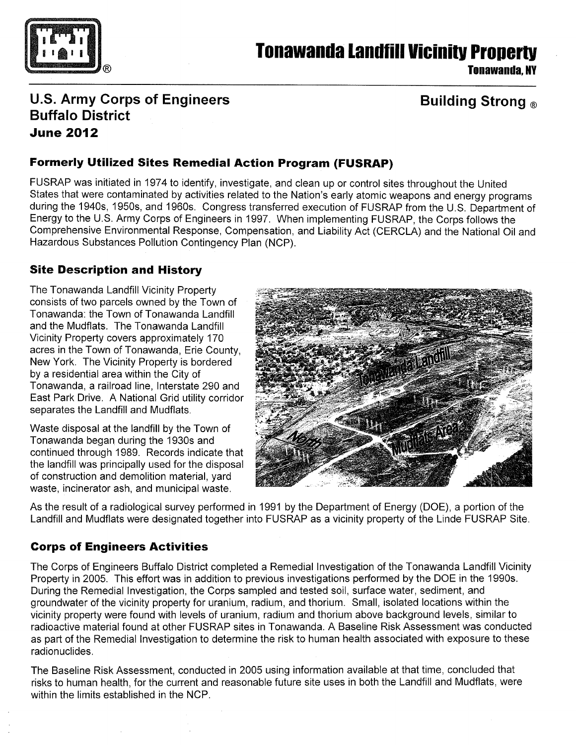

## **Tonawanda landfill Vicinitv Propertv**

**Tonawanda, NY** 

## **U.S. Army Corps of Engineers Buffalo District June 2012**

## **Building Strong** ®

### **Formerly Utilized Sites Remedial Action Program (FUSRAP)**

FUSRAP was initiated in 1974 to identify, investigate, and clean up or control sites throughout the United States that were contaminated by activities related to the Nation's early atomic weapons and energy programs during the 1940s, 1950s, and 1960s. Congress transferred execution of FUSRAP from the U.S. Department of Energy to the U.S. Army Corps of Engineers in 1997. When implementing FUSRAP, the Corps follows the Comprehensive Environmental Response, Compensation, and Liability Act (CERCLA) and the National Oil and Hazardous Substances Pollution Contingency Plan (NCP).

#### **Site Description and History**

The Tonawanda Landfill Vicinity Property consists of two parcels owned by the Town of Tonawanda: the Town of Tonawanda Landfill and the Mudflats. The Tonawanda Landfill Vicinity Property covers approximately 170 acres in the Town of Tonawanda, Erie County, New York. The Vicinity Property is bordered by a residential area within the City of Tonawanda, a railroad line, Interstate 290 and East Park Drive. A National Grid utility corridor separates the Landfill and Mudflats.

Waste disposal at the landfill by the Town of Tonawanda began during the 1930s and continued through 1989. Records indicate that the landfill was principally used for the disposal of construction and demolition material, yard waste, incinerator ash, and municipal waste.



As the result of a radiological survey performed in 1991 by the Department of Energy (DOE), a portion of the Landfill and Mudflats were designated together into FUSRAP as a vicinity property of the Linde FUSRAP Site.

#### **Corps of Engineers Activities**

The Corps of Engineers Buffalo District completed a Remedial Investigation of the Tonawanda Landfill Vicinity Property in 2005. This effort was in addition to previous investigations performed by the DOE in the 1990s. During the Remedial Investigation, the Corps sampled and tested soil, surface water, sediment, and groundwater of the vicinity property for uranium, radium, and thorium. Small, isolated locations within the vicinity property were found with levels of uranium, radium and thorium above background levels, similar to radioactive material found at other FUSRAP sites in Tonawanda. A Baseline Risk Assessment was conducted as part of the Remedial Investigation to determine the risk to human health associated with exposure to these radionuclides.

The Baseline Risk Assessment, conducted in 2005 using information available at that time, concluded that risks to human health, for the current and reasonable future site uses in both the Landfill and Mudflats, were within the limits established in the NCP.